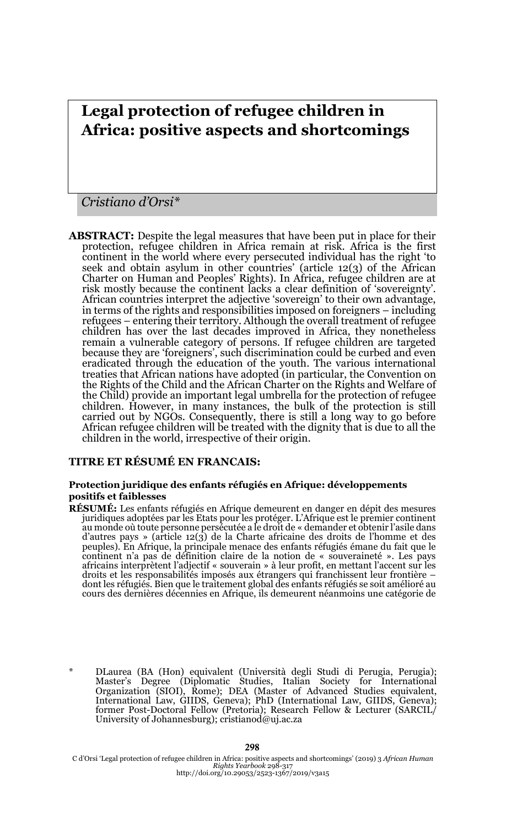# **Legal protection of refugee children in Africa: positive aspects and shortcomings**

### *Cristiano d'Orsi\**

**ABSTRACT:** Despite the legal measures that have been put in place for their protection, refugee children in Africa remain at risk. Africa is the first continent in the world where every persecuted individual has the right 'to seek and obtain asylum in other countries' (article 12(3) of the African Charter on Human and Peoples' Rights). In Africa, refugee children are at risk mostly because the continent lacks a clear definition of 'sovereignty'. African countries interpret the adjective 'sovereign' to their own advantage, in terms of the rights and responsibilities imposed on foreigners – including refugees – entering their territory. Although the overall treatment of refugee children has over the last decades improved in Africa, they nonetheless remain a vulnerable category of persons. If refugee children are targeted because they are 'foreigners', such discrimination could be curbed and even eradicated through the education of the youth. The various international treaties that African nations have adopted (in particular, the Convention on the Rights of the Child and the African Charter on the Rights and Welfare of the Child) provide an important legal umbrella for the protection of refugee children. However, in many instances, the bulk of the protection is still carried out by NGOs. Consequently, there is still a long way to go before African refugee children will be treated with the dignity that is due to all the children in the world, irrespective of their origin.

#### **TITRE ET RÉSUMÉ EN FRANCAIS:**

#### **Protection juridique des enfants réfugiés en Afrique: développements positifs et faiblesses**

**RÉSUMÉ:** Les enfants réfugiés en Afrique demeurent en danger en dépit des mesures juridiques adoptées par les Etats pour les protéger. L'Afrique est le premier continent<br>au monde où toute personne persécutée a le droit de « demander et obtenir l'asile dans d'autres pays » (article 12(3) de la Charte africaine des droits de l'homme et des peuples). En Afrique, la principale menace des enfants réfugiés émane du fait que le continent n'a pas de définition claire de la notion de « souveraineté ». Les pays africains interprètent l'adjectif « souverain » à leur profit, en mettant l'accent sur les droits et les responsabilités imposés aux étrangers qui franchissent leur frontière – dont les réfugiés. Bien que le traitement global des enfants réfugiés se soit amélioré au cours des dernières décennies en Afrique, ils demeurent néanmoins une catégorie de

\* DLaurea (BA (Hon) equivalent (Università degli Studi di Perugia, Perugia); Master's Degree (Diplomatic Studies, Italian Society for International Organization (SIOI), Rome); DEA (Master of Advanced Studies equivalent, International Law, GIIDS, Geneva); PhD (International Law, GIIDS, Geneva); former Post-Doctoral Fellow (Pretoria); Research Fellow & Lecturer (SARCIL/ University of Johannesburg); cristianod@uj.ac.za

C d'Orsi 'Legal protection of refugee children in Africa: positive aspects and shortcomings' (2019) 3 *African Human Rights Yearbook* 298-317 http://doi.org/10.29053/2523-1367/2019/v3a15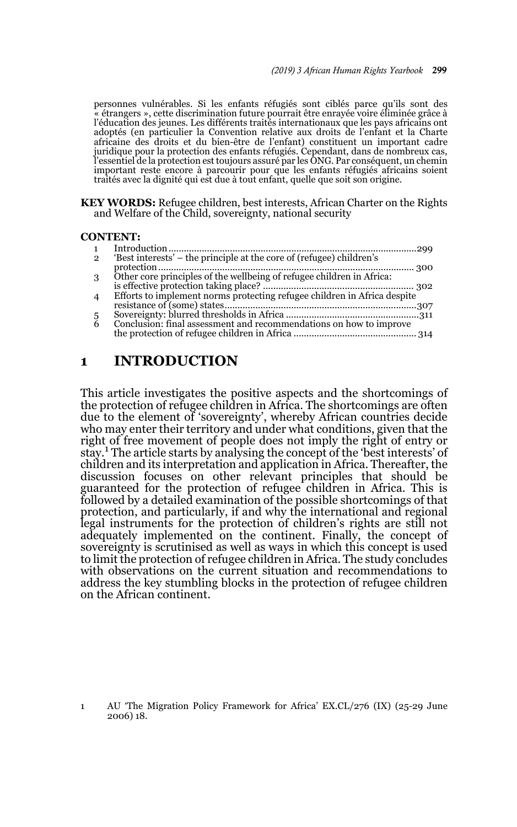personnes vulnérables. Si les enfants réfugiés sont ciblés parce qu'ils sont des « étrangers », cette discrimination future pourrait être enrayée voire éliminée grâce à l'éducation des jeunes. Les différents traités internationaux que les pays africains ont adoptés (en particulier la Convention relative aux droits de l'enfant et la Charte africaine des droits et du bien-être de l'enfant) constituent un important cadre juridique pour la protection des enfants réfugiés. Cependant, dans de nombreux cas, l'essentiel de la protection est toujours assuré par les ONG. Par conséquent, un chemin important reste encore à parcourir pour que les enfants réfugiés africains soient traités avec la dignité qui est due à tout enfant, quelle que soit son origine.

**KEY WORDS:** Refugee children, best interests, African Charter on the Rights and Welfare of the Child, sovereignty, national security

#### **CONTENT:**

| $\mathbf{1}$   |                                                                          |  |
|----------------|--------------------------------------------------------------------------|--|
| $\mathbf{2}$   | 'Best interests' – the principle at the core of (refugee) children's     |  |
|                |                                                                          |  |
| 3              | Other core principles of the wellbeing of refugee children in Africa:    |  |
|                |                                                                          |  |
| $\overline{4}$ | Efforts to implement norms protecting refugee children in Africa despite |  |
|                |                                                                          |  |
| 5              |                                                                          |  |
| 6              | Conclusion: final assessment and recommendations on how to improve       |  |
|                |                                                                          |  |

### **1 INTRODUCTION**

This article investigates the positive aspects and the shortcomings of the protection of refugee children in Africa. The shortcomings are often due to the element of 'sovereignty', whereby African countries decide who may enter their territory and under what conditions, given that the right of free movement of people does not imply the right of entry or stay.<sup>1</sup> The article starts by analysing the concept of the 'best interests' of children and its interpretation and application in Africa. Thereafter, the discussion focuses on other relevant principles that should be guaranteed for the protection of refugee children in Africa. This is followed by a detailed examination of the possible shortcomings of that protection, and particularly, if and why the international and regional legal instruments for the protection of children's rights are still not adequately implemented on the continent. Finally, the concept of sovereignty is scrutinised as well as ways in which this concept is used to limit the protection of refugee children in Africa. The study concludes with observations on the current situation and recommendations to address the key stumbling blocks in the protection of refugee children on the African continent.

1 AU 'The Migration Policy Framework for Africa' EX.CL/276 (IX) (25-29 June 2006) 18.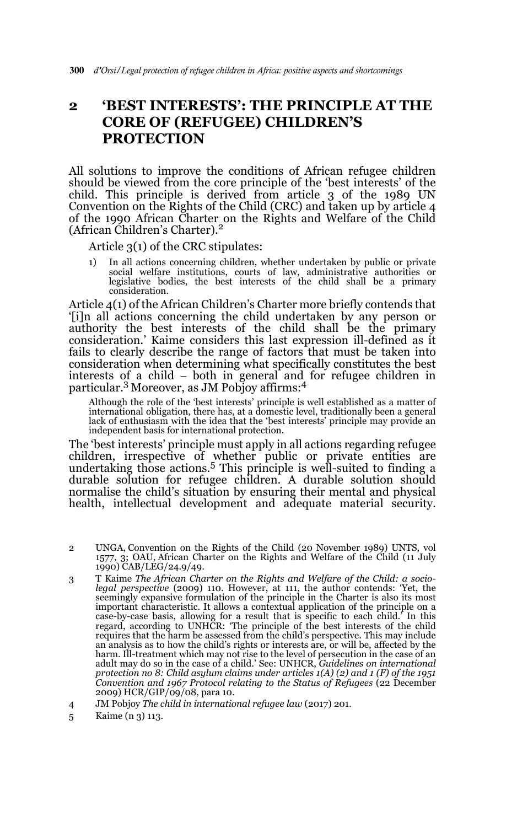## **2 'BEST INTERESTS': THE PRINCIPLE AT THE CORE OF (REFUGEE) CHILDREN'S PROTECTION**

All solutions to improve the conditions of African refugee children should be viewed from the core principle of the 'best interests' of the child. This principle is derived from article 3 of the 1989 UN Convention on the Rights of the Child (CRC) and taken up by article 4 of the 1990 African Charter on the Rights and Welfare of the Child (African Children's Charter).2

Article 3(1) of the CRC stipulates:

1) In all actions concerning children, whether undertaken by public or private social welfare institutions, courts of law, administrative authorities or legislative bodies, the best interests of the child shall be a primary consideration.

Article 4(1) of the African Children's Charter more briefly contends that '[i]n all actions concerning the child undertaken by any person or authority the best interests of the child shall be the primary consideration.' Kaime considers this last expression ill-defined as it fails to clearly describe the range of factors that must be taken into consideration when determining what specifically constitutes the best interests of a child  $-$  both in general and for refugee children in particular.3 Moreover, as JM Pobjoy affirms:4

Although the role of the 'best interests' principle is well established as a matter of international obligation, there has, at a domestic level, traditionally been a general lack of enthusiasm with the idea that the 'best interests' principle may provide an independent basis for international protection.

The 'best interests' principle must apply in all actions regarding refugee children, irrespective of whether public or private entities are<br>undertaking those actions.<sup>5</sup> This principle is well-suited to finding a durable solution for refugee children. A durable solution should normalise the child's situation by ensuring their mental and physical health, intellectual development and adequate material security.

- 2 UNGA, Convention on the Rights of the Child (20 November 1989) UNTS, vol 1577, 3; OAU, African Charter on the Rights and Welfare of the Child (11 July 1990) CAB/LEG/24.9/49.
- 3 T Kaime *The African Charter on the Rights and Welfare of the Child: a sociolegal perspective* (2009) 110. However, at 111, the author contends: 'Yet, the seemingly expansive formulation of the principle in the Charter is also its most important characteristic. It allows a contextual application of the principle on a case-by-case basis, allowing for a result that is specific to each child.' In this regard, according to UNHCR: 'The principle of the best interests of the child requires that the harm be assessed from the child's perspective. This may include an analysis as to how the child's rights or interests are, or will be, affected by the harm. Ill-treatment which may not rise to the level of persecution in the case of an adult may do so in the case of a child.' See: UNHCR, *Guidelines on international protection no 8: Child asylum claims under articles 1(A) (2) and 1 (F) of the 1951 Convention and 1967 Protocol relating to the Status of Refugees* (22 December 2009) HCR/GIP/09/08, para 10.
- 4 JM Pobjoy *The child in international refugee law* (2017) 201.
- 5 Kaime (n 3) 113.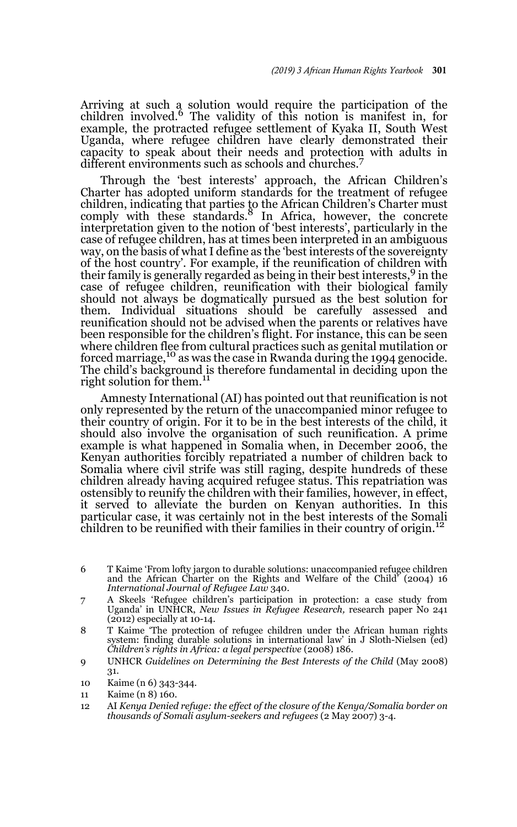Arriving at such a solution would require the participation of the children involved.<sup>6</sup> The validity of this notion is manifest in, for example, the protracted refugee settlement of Kyaka II, South West Uganda, where refugee children have clearly demonstrated their capacity to speak about their needs and protection with adults in different environments such as schools and churches.<sup>7</sup>

Through the 'best interests' approach, the African Children's Charter has adopted uniform standards for the treatment of refugee children, indicating that parties to the African Children's Charter must<br>comply with these standards.<sup>8</sup> In Africa, however, the concrete interpretation given to the notion of 'best interests', particularly in the case of refugee children, has at times been interpreted in an ambiguous way, on the basis of what I define as the 'best interests of the sovereignty of the host country'. For example, if the reunification of children with their family is generally regarded as being in their best interests,<sup>9</sup> in the case of refugee children, reunification with their biological family should not always be dogmatically pursued as the best solution for them. Individual situations should be carefully assessed and reunification should not be advised when the parents or relatives have been responsible for the children's flight. For instance, this can be seen where children flee from cultural practices such as genital mutilation or forced marriage,<sup>10</sup> as was the case in Rwanda during the 1994 genocide. The child's background is therefore fundamental in deciding upon the right solution for them.<sup>11</sup>

Amnesty International (AI) has pointed out that reunification is not only represented by the return of the unaccompanied minor refugee to their country of origin. For it to be in the best interests of the child, it should also involve the organisation of such reunification. A prime example is what happened in Somalia when, in December 2006, the Kenyan authorities forcibly repatriated a number of children back to Somalia where civil strife was still raging, despite hundreds of these children already having acquired refugee status. This repatriation was ostensibly to reunify the children with their families, however, in effect, it served to alleviate the burden on Kenyan authorities. In this particular case, it was certainly not in the best interests of the Somali children to be reunified with their families in their country of origin.<sup>12</sup>

- 6 T Kaime 'From lofty jargon to durable solutions: unaccompanied refugee children and the African Charter on the Rights and Welfare of the Child' (2004) 16 *International Journal of Refugee Law* 340.
- 7 A Skeels 'Refugee children's participation in protection: a case study from Uganda' in UNHCR, *New Issues in Refugee Research,* research paper No 241 (2012) especially at 10-14.
- 8 T Kaime 'The protection of refugee children under the African human rights system: finding durable solutions in international law' in J Sloth-Nielsen (ed) *Children's rights in Africa: a legal perspective* (2008) 186.
- 9 UNHCR *Guidelines on Determining the Best Interests of the Child* (May 2008) 31.
- 10 Kaime (n 6) 343-344.
- 11 Kaime (n 8) 160.

<sup>12</sup> AI *Kenya Denied refuge: the effect of the closure of the Kenya/Somalia border on thousands of Somali asylum-seekers and refugees* (2 May 2007) 3-4.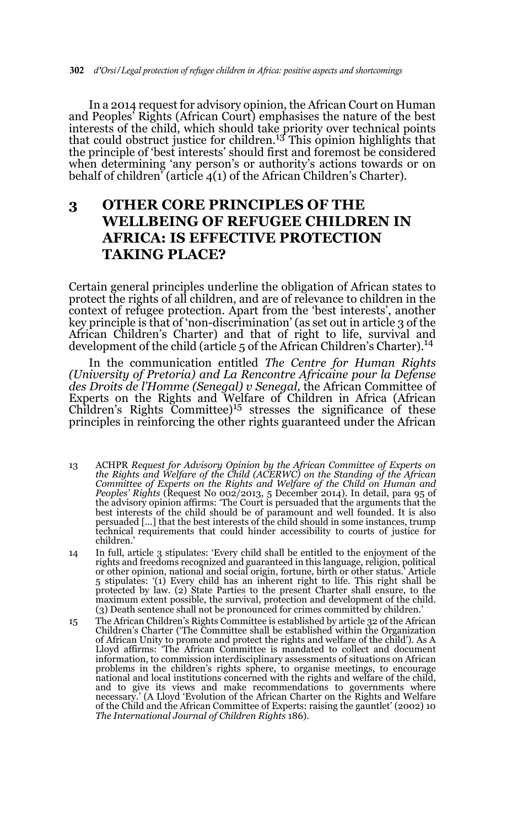In a 2014 request for advisory opinion, the African Court on Human and Peoples' Rights (African Court) emphasises the nature of the best interests of the child, which should take priority over technical points that could obstruct justice for children.13 This opinion highlights that the principle of 'best interests' should first and foremost be considered when determining 'any person's or authority's actions towards or on behalf of children' (article 4(1) of the African Children's Charter).

## **3 OTHER CORE PRINCIPLES OF THE WELLBEING OF REFUGEE CHILDREN IN AFRICA: IS EFFECTIVE PROTECTION TAKING PLACE?**

Certain general principles underline the obligation of African states to protect the rights of all children, and are of relevance to children in the context of refugee protection. Apart from the 'best interests', another key principle is that of 'non-discrimination' (as set out in article 3 of the African Children's Charter) and that of right to life, survival and development of the child (article 5 of the African Children's Charter).<sup>14</sup>

In the communication entitled *The Centre for Human Rights (University of Pretoria) and La Rencontre Africaine pour la Defense des Droits de l'Homme (Senegal) v Senegal,* the African Committee of Experts on the Rights and Welfare of Children in Africa (African Children's Rights Committee)<sup>15</sup> stresses the significance of these principles in reinforcing the other rights guaranteed under the African

- 13 ACHPR *Request for Advisory Opinion by the African Committee of Experts on the Rights and Welfare of the Child (ACERWC) on the Standing of the African Committee of Experts on the Rights and Welfare of the Child on Human and Peoples' Rights* (Request No 002/2013, 5 December 2014). In detail, para 95 of the advisory opinion affirms: 'The Court is persuaded that the arguments that the best interests of the child should be of paramount and well founded. It is also<br>persuaded [...] that the best interests of the child should in some instances, trump technical requirements that could hinder accessibility to courts of justice for children.'
- 14 In full, article 3 stipulates: 'Every child shall be entitled to the enjoyment of the rights and freedoms recognized and guaranteed in this language, religion, political or other opinion, national and social origin, fortune, birth or other status.' Article 5 stipulates: '(1) Every child has an inherent right to life. This right shall be protected by law. (2) State Parties to the present Charter shall ensure, to the maximum extent possible, the survival, protection and development of the child. (3) Death sentence shall not be pronounced for crimes committed by children.'
- 15 The African Children's Rights Committee is established by article 32 of the African Children's Charter ('The Committee shall be established within the Organization of African Unity to promote and protect the rights and welfare of the child'). As A Lloyd affirms: 'The African Committee is mandated to collect and document information, to commission interdisciplinary assessments of situations on African problems in the children's rights sphere, to organise meetings, to encourage national and local institutions concerned with the rights and welfare of the child, and to give its views and make recommendations to governments where necessary.' (A Lloyd 'Evolution of the African Charter on the Rights and Welfare of the Child and the African Committee of Experts: raising the gauntlet' (2002) 10 *The International Journal of Children Rights* 186).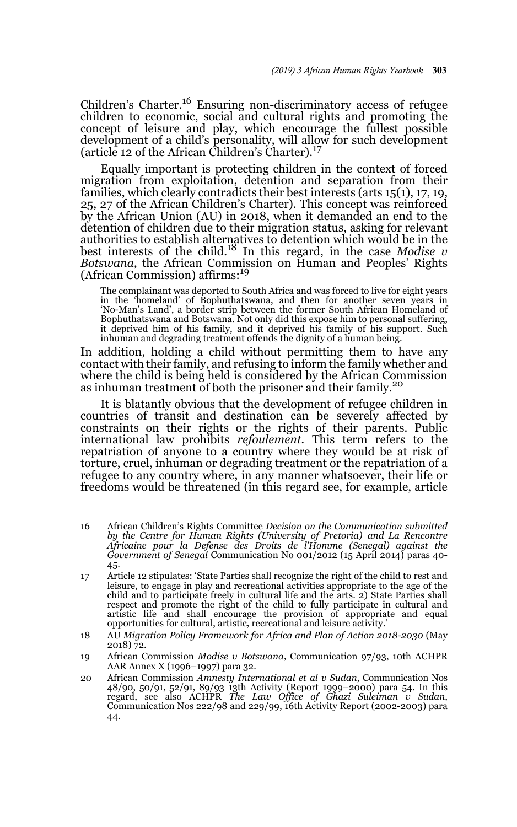Children's Charter.16 Ensuring non-discriminatory access of refugee children to economic, social and cultural rights and promoting the concept of leisure and play, which encourage the fullest possible development of a child's personality, will allow for such development (article 12 of the African Children's Charter).<sup>17</sup>

Equally important is protecting children in the context of forced migration from exploitation, detention and separation from their families, which clearly contradicts their best interests (arts 15(1), 17, 19, 25, 27 of the African Children's Charter). This concept was reinforced by the African Union (AU) in 2018, when it demanded an end to the detention of children due to their migration status, asking for relevant authorities to establish alternatives to detention which would be in the best interests of the child.18 In this regard, in the case *Modise v Botswana,* the African Commission on Human and Peoples' Rights (African Commission) affirms:<sup>19</sup>

The complainant was deported to South Africa and was forced to live for eight years in the 'homeland' of Bophuthatswana, and then for another seven years in 'No-Man's Land', a border strip between the former South African Homeland of Bophuthatswana and Botswana. Not only did this expose him to personal suffering, it deprived him of his family, and it deprived his family of his support. Such inhuman and degrading treatment offends the dignity of a human being.

In addition, holding a child without permitting them to have any contact with their family, and refusing to inform the family whether and where the child is being held is considered by the African Commission as inhuman treatment of both the prisoner and their family.<sup>20</sup>

It is blatantly obvious that the development of refugee children in countries of transit and destination can be severely affected by constraints on their rights or the rights of their parents. Public international law prohibits *refoulement.* This term refers to the repatriation of anyone to a country where they would be at risk of torture, cruel, inhuman or degrading treatment or the repatriation of a refugee to any country where, in any manner whatsoever, their life or freedoms would be threatened (in this regard see, for example, article

- 16 African Children's Rights Committee *Decision on the Communication submitted by the Centre for Human Rights (University of Pretoria) and La Rencontre Africaine pour la Defense des Droits de l'Homme (Senegal) against the Government of Senegal* Communication No 001/2012 (15 April 2014) paras 40- 45.
- 17 Article 12 stipulates: 'State Parties shall recognize the right of the child to rest and leisure, to engage in play and recreational activities appropriate to the age of the child and to participate freely in cultural life and the arts. 2) State Parties shall respect and promote the right of the child to fully participate in cultural and artistic life and shall encourage the provision of appropriate and equal opportunities for cultural, artistic, recreational and leisure activity.'
- 18 AU *Migration Policy Framework for Africa and Plan of Action 2018-2030* (May 2018) 72.
- 19 African Commission *Modise v Botswana,* Communication 97/93, 10th ACHPR AAR Annex X (1996–1997) para 32.
- 20 African Commission *Amnesty International et al v Sudan*, Communication Nos 48/90, 50/91, 52/91, 89/93 13th Activity (Report 1999–2000) para 54. In this Communication Nos 222/98 and 229/99, 16th Activity Report (2002-2003) para 44.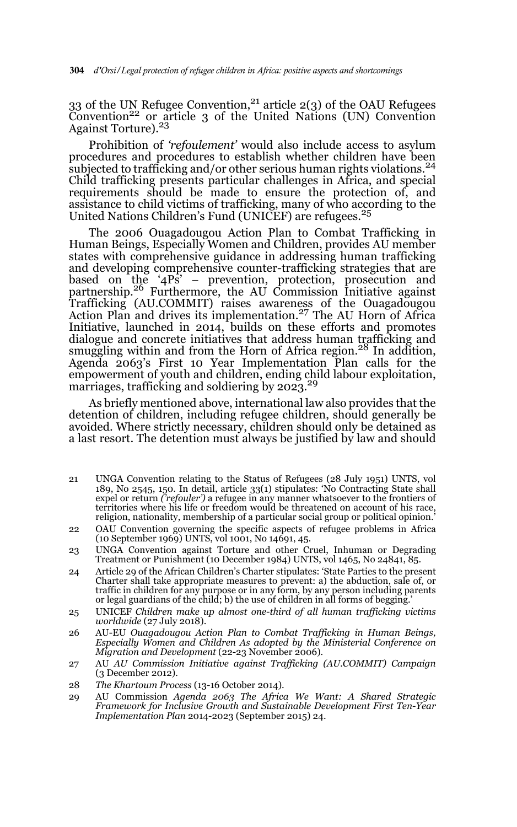33 of the UN Refugee Convention,<sup>21</sup> article 2(3) of the OAU Refugees Convention<sup>22</sup> or article 3 of the United Nations (UN) Convention Against Torture).<sup>23</sup>

Prohibition of *'refoulement'* would also include access to asylum procedures and procedures to establish whether children have been subjected to trafficking and/or other serious human rights violations.<sup>24</sup> Child trafficking presents particular challenges in Africa, and special requirements should be made to ensure the protection of, and assistance to child victims of trafficking, many of who according to the United Nations Children's Fund (UNICEF) are refugees.<sup>25</sup>

The 2006 Ouagadougou Action Plan to Combat Trafficking in Human Beings, Especially Women and Children, provides AU member states with comprehensive guidance in addressing human trafficking and developing comprehensive counter-trafficking strategies that are based on the '4Ps' – prevention, protection, prosecution and<br>partnership.<sup>26</sup> Furthermore, the AU Commission Initiative against Trafficking (AU.COMMIT) raises awareness of the Ouagadougou Action Plan and drives its implementation.<sup>27</sup> The AU Horn of Africa Initiative, launched in 2014, builds on these efforts and promotes dialogue and concrete initiatives that address human trafficking and smuggling within and from the Horn of Africa region.<sup>28</sup> In addition, Agenda 2063's First 10 Year Implementation Plan calls for the empowerment of youth and children, ending child labour exploitation, marriages, trafficking and soldiering by  $2023<sup>29</sup>$ 

As briefly mentioned above, international law also provides that the detention of children, including refugee children, should generally be avoided. Where strictly necessary, children should only be detained as a last resort. The detention must always be justified by law and should

- 21 UNGA Convention relating to the Status of Refugees (28 July 1951) UNTS, vol 189, No 2545, 150. In detail, article 33(1) stipulates: 'No Contracting State shall expel or return *('refouler')* a refugee in any manner whatsoever to the frontiers of territories where his life or freedom would be threatened on account of his race, religion, nationality, membership of a particular social group or political opinion.'
- 22 OAU Convention governing the specific aspects of refugee problems in Africa (10 September 1969) UNTS, vol 1001, No 14691, 45.
- 23 UNGA Convention against Torture and other Cruel, Inhuman or Degrading Treatment or Punishment (10 December 1984) UNTS, vol 1465, No 24841, 85.
- 24 Article 29 of the African Children's Charter stipulates: 'State Parties to the present Charter shall take appropriate measures to prevent: a) the abduction, sale of, or traffic in children for any purpose or in any form, by any person including parents or legal guardians of the child; b) the use of children in all forms of begging.'
- 25 UNICEF *Children make up almost one-third of all human trafficking victims worldwide* (27 July 2018).
- 26 AU-EU *Ouagadougou Action Plan to Combat Trafficking in Human Beings, Especially Women and Children As adopted by the Ministerial Conference on Migration and Development* (22-23 November 2006).
- 27 AU *AU Commission Initiative against Trafficking (AU.COMMIT) Campaign* (3 December 2012).
- 28 *The Khartoum Process* (13-16 October 2014).
- 29 AU Commission *Agenda 2063 The Africa We Want: A Shared Strategic Framework for Inclusive Growth and Sustainable Development First Ten-Year Implementation Plan* 2014-2023 (September 2015) 24.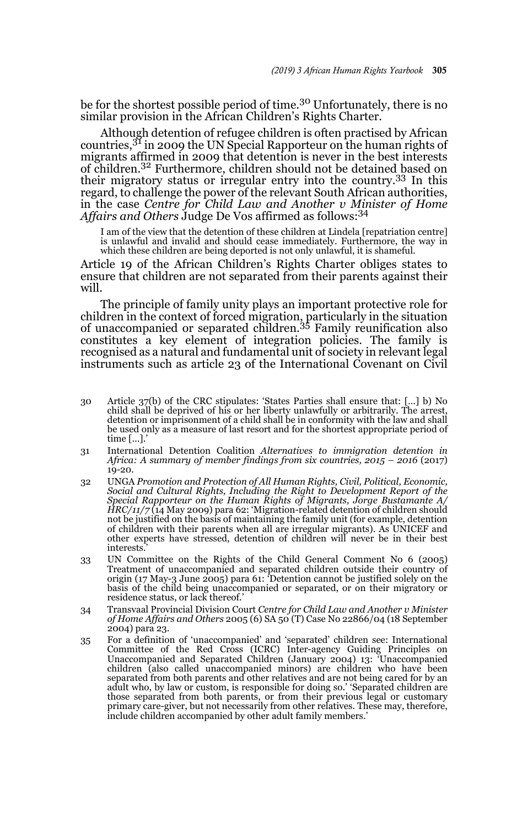be for the shortest possible period of time.<sup>30</sup> Unfortunately, there is no similar provision in the African Children's Rights Charter.

Although detention of refugee children is often practised by African countries,31 in 2009 the UN Special Rapporteur on the human rights of migrants affirmed in 2009 that detention is never in the best interests of children.32 Furthermore, children should not be detained based on their migratory status or irregular entry into the country.33 In this regard, to challenge the power of the relevant South African authorities, in the case *Centre for Child Law and Another v Minister of Home Affairs and Others* Judge De Vos affirmed as follows:<sup>34</sup>

I am of the view that the detention of these children at Lindela [repatriation centre] is unlawful and invalid and should cease immediately. Furthermore, the way in which these children are being deported is not only unlawful, it is shameful.

Article 19 of the African Children's Rights Charter obliges states to ensure that children are not separated from their parents against their will.

The principle of family unity plays an important protective role for children in the context of forced migration, particularly in the situation of unaccompanied or separated children.35 Family reunification also constitutes a key element of integration policies. The family is recognised as a natural and fundamental unit of society in relevant legal instruments such as article 23 of the International Covenant on Civil

- 30 Article 37(b) of the CRC stipulates: 'States Parties shall ensure that: […] b) No child shall be deprived of his or her liberty unlawfully or arbitrarily. The arrest, detention or imprisonment of a child shall be in conformity with the law and shall be used only as a measure of last resort and for the shortest appropriate period of time [...].
- 31 International Detention Coalition *Alternatives to immigration detention in Africa: A summary of member findings from six countries, 2015 – 2016* (2017) 19-20.
- 32 UNGA *Promotion and Protection of All Human Rights, Civil, Political, Economic, Social and Cultural Rights, Including the Right to Development Report of the Special Rapporteur on the Human Rights of Migrants, Jorge Bustamante A/ HRC/11/7* (14 May 2009) para 62: 'Migration-related detention of children should not be justified on the basis of maintaining the family unit (for example, detention of children with their parents when all are irregular migrants). As UNICEF and other experts have stressed, detention of children will never be in their best interests.'
- 33 UN Committee on the Rights of the Child General Comment No 6 (2005) Treatment of unaccompanied and separated children outside their country of origin (17 May-3 June 2005) para 61: 'Detention cannot be justified solely on the basis of the child being unaccompanied or separated, or on their migratory or residence status, or lack thereof.'
- 34 Transvaal Provincial Division Court *Centre for Child Law and Another v Minister of Home Affairs and Others* 2005 (6) SA 50 (T) Case No 22866/04 (18 September 2004) para 23.
- 35 For a definition of 'unaccompanied' and 'separated' children see: International Committee of the Red Cross (ICRC) Inter-agency Guiding Principles on Unaccompanied and Separated Children (January 2004) 13: 'Unaccompanied children (also called unaccompanied minors) are children who have been separated from both parents and other relatives and are not being cared for by an adult who, by law or custom, is responsible for doing so.' 'Separated children are those separated from both parents, or from their previous legal or customary primary care-giver, but not necessarily from other relatives. These may, therefore, include children accompanied by other adult family members.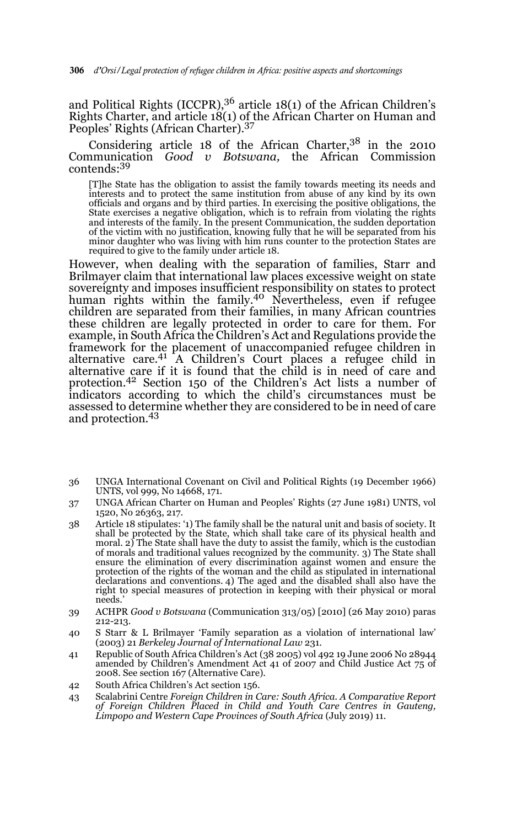306 *d'Orsi/Legal protection of refugee children in Africa: positive aspects and shortcomings*

and Political Rights (ICCPR),<sup>36</sup> article 18(1) of the African Children's Rights Charter, and article 18(1) of the African Charter on Human and Peoples' Rights (African Charter).<sup>37</sup>

#### Considering article 18 of the African Charter,  $3^8$  in the 2010 Communication *Good v Botswana,* the African Commission contends:<sup>39</sup>

[T]he State has the obligation to assist the family towards meeting its needs and interests and to protect the same institution from abuse of any kind by its own officials and organs and by third parties. In exercising the positive obligations, the State exercises a negative obligation, which is to refrain from violating the rights and interests of the family. In the present Communication, the sudden deportation<br>of the victim with no justification, knowing fully that he will be separated from his<br>minor daughter who was living with him runs counter to required to give to the family under article 18.

However, when dealing with the separation of families, Starr and Brilmayer claim that international law places excessive weight on state sovereignty and imposes insufficient responsibility on states to protect human rights within the family.<sup>40</sup> Nevertheless, even if refugee children are separated from their families, in many African countries these children are legally protected in order to care for them. For example, in South Africa the Children's Act and Regulations provide the framework for the placement of unaccompanied refugee children in<br>alternative care.<sup>41</sup> A Children's Court places a refugee child in alternative care if it is found that the child is in need of care and protection.42 Section 150 of the Children's Act lists a number of indicators according to which the child's circumstances must be assessed to determine whether they are considered to be in need of care and protection.43

- 36 UNGA International Covenant on Civil and Political Rights (19 December 1966) UNTS, vol 999, No 14668, 171.
- 37 UNGA African Charter on Human and Peoples' Rights (27 June 1981) UNTS, vol 1520, No 26363, 217.
- 38 Article 18 stipulates: '1) The family shall be the natural unit and basis of society. It shall be protected by the State, which shall take care of its physical health and moral. 2) The State shall have the duty to assist the family, which is the custodian of morals and traditional values recognized by the community. 3) The State shall ensure the elimination of every discrimination against women and ensure the protection of the rights of the woman and the child as stipulated in international declarations and conventions. 4) The aged and the disabled shall also have the right to special measures of protection in keeping with their physical or moral needs.'
- 39 ACHPR *Good v Botswana* (Communication 313/05) [2010] (26 May 2010) paras 212-213.
- 40 S Starr & L Brilmayer 'Family separation as a violation of international law' (2003) 21 *Berkeley Journal of International Law* 231.
- 41 Republic of South Africa Children's Act (38 2005) vol 492 19 June 2006 No 28944 amended by Children's Amendment Act 41 of 2007 and Child Justice Act 75 of 2008. See section 167 (Alternative Care).
- 42 South Africa Children's Act section 156.
- 43 Scalabrini Centre *Foreign Children in Care: South Africa. A Comparative Report of Foreign Children Placed in Child and Youth Care Centres in Gauteng, Limpopo and Western Cape Provinces of South Africa* (July 2019) 11.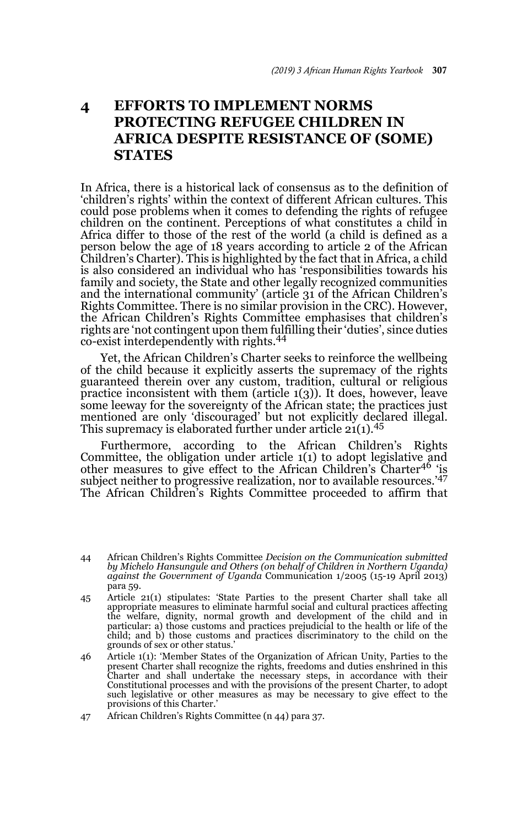## **4 EFFORTS TO IMPLEMENT NORMS PROTECTING REFUGEE CHILDREN IN AFRICA DESPITE RESISTANCE OF (SOME) STATES**

In Africa, there is a historical lack of consensus as to the definition of 'children's rights' within the context of different African cultures. This could pose problems when it comes to defending the rights of refugee children on the continent. Perceptions of what constitutes a child in Africa differ to those of the rest of the world (a child is defined as a person below the age of 18 years according to article 2 of the African Children's Charter). This is highlighted by the fact that in Africa, a child is also considered an individual who has 'responsibilities towards his family and society, the State and other legally recognized communities and the international community' (article 31 of the African Children's Rights Committee. There is no similar provision in the CRC). However, the African Children's Rights Committee emphasises that children's rights are 'not contingent upon them fulfilling their 'duties', since duties co-exist interdependently with rights.<sup>44</sup>

Yet, the African Children's Charter seeks to reinforce the wellbeing of the child because it explicitly asserts the supremacy of the rights guaranteed therein over any custom, tradition, cultural or religious practice inconsistent with them (article  $1(3)$ ). It does, however, leave some leeway for the sovereignty of the African state; the practices just mentioned are only 'discouraged' but not explicitly declared illegal. This supremacy is elaborated further under article  $21(1).^{45}$ 

Furthermore, according to the African Children's Rights Committee, the obligation under article 1(1) to adopt legislative and other measures to give effect to the African Children's Charter46 'is subject neither to progressive realization, nor to available resources.'47 The African Children's Rights Committee proceeded to affirm that

<sup>44</sup> African Children's Rights Committee *Decision on the Communication submitted by Michelo Hansungule and Others (on behalf of Children in Northern Uganda) against the Government of Uganda* Communication 1/2005 (15-19 April 2013) para 59.

<sup>45</sup> Article 21(1) stipulates: 'State Parties to the present Charter shall take all appropriate measures to eliminate harmful social and cultural practices affecting the welfare, dignity, normal growth and development of the child and in particular: a) those customs and practices prejudicial to the health or life of the child; and b) those customs and practices discriminatory to the child on the grounds of sex or other status.'

<sup>46</sup> Article 1(1): 'Member States of the Organization of African Unity, Parties to the present Charter shall recognize the rights, freedoms and duties enshrined in this<br>Charter and shall undertake the necessary steps, in accordance with their<br>Constitutional processes and with the provisions of the present Ch such legislative or other measures as may be necessary to give effect to the provisions of this Charter.'

<sup>47</sup> African Children's Rights Committee (n 44) para 37.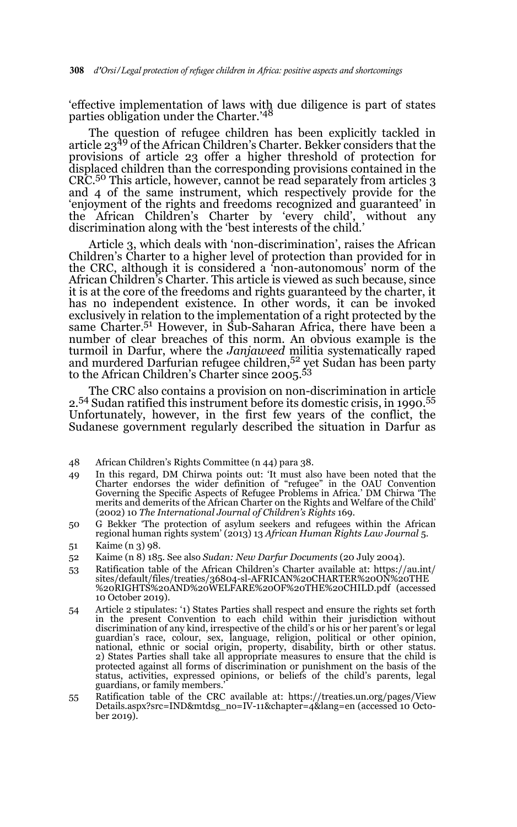'effective implementation of laws with due diligence is part of states parties obligation under the Charter.'<sup>48</sup>

The question of refugee children has been explicitly tackled in article 2349 of the African Children's Charter. Bekker considers that the provisions of article 23 offer a higher threshold of protection for displaced children than the corresponding provisions contained in the CRC.50 This article, however, cannot be read separately from articles 3 and 4 of the same instrument, which respectively provide for the 'enjoyment of the rights and freedoms recognized and guaranteed' in the African Children's Charter by 'every child', without any discrimination along with the 'best interests of the child.'

Article 3, which deals with 'non-discrimination', raises the African Children's Charter to a higher level of protection than provided for in the CRC, although it is considered a 'non-autonomous' norm of the African Children's Charter. This article is viewed as such because, since it is at the core of the freedoms and rights guaranteed by the charter, it has no independent existence. In other words, it can be invoked exclusively in relation to the implementation of a right protected by the same Charter.<sup>51</sup> However, in Sub-Saharan Africa, there have been a number of clear breaches of this norm. An obvious example is the turmoil in Darfur, where the *Janjaweed* militia systematically raped and murdered Darfurian refugee children,<sup>52</sup> yet Sudan has been party to the African Children's Charter since 2005.<sup>53</sup>

The CRC also contains a provision on non-discrimination in article 2.54 Sudan ratified this instrument before its domestic crisis, in 1990.55 Unfortunately, however, in the first few years of the conflict, the Sudanese government regularly described the situation in Darfur as

- 49 In this regard, DM Chirwa points out: 'It must also have been noted that the Charter endorses the wider definition of "refugee" in the OAU Convention Governing the Specific Aspects of Refugee Problems in Africa.' DM Chirwa 'The merits and demerits of the African Charter on the Rights and Welfare of the Child' (2002) 10 *The International Journal of Children's Rights* 169.
- 50 G Bekker 'The protection of asylum seekers and refugees within the African regional human rights system' (2013) 13 *African Human Rights Law Journal* 5.
- 51 Kaime (n 3) 98.
- 52 Kaime (n 8) 185. See also *Sudan: New Darfur Documents* (20 July 2004).
- 53 Ratification table of the African Children's Charter available at: https://au.int/ sites/default/files/treaties/36804-sl-AFRICAN%20CHARTER%20ON%20THE %20RIGHTS%20AND%20WELFARE%20OF%20THE%20CHILD.pdf (accessed 10 October 2019).
- 54 Article 2 stipulates: '1) States Parties shall respect and ensure the rights set forth in the present Convention to each child within their jurisdiction without discrimination of any kind, irrespective of the child's or his or her parent's or legal guardian's race, colour, sex, language, religion, political or other opinion, national, ethnic or social origin, property, disability, birth or other status. 2) States Parties shall take all appropriate measures to ensure that the child is protected against all forms of discrimination or punishment on the basis of the status, activities, expressed opinions, or beliefs of the child's parents, legal guardians, or family members.'
- 55 Ratification table of the CRC available at: https://treaties.un.org/pages/View Details.aspx?src=IND&mtdsg\_no=IV-11&chapter=4&lang=en (accessed 10 October 2019).

<sup>48</sup> African Children's Rights Committee (n 44) para 38.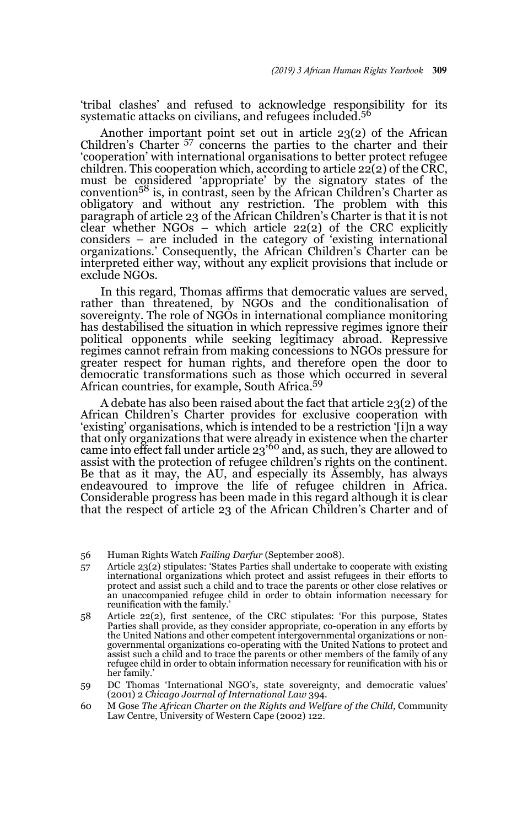'tribal clashes' and refused to acknowledge responsibility for its systematic attacks on civilians, and refugees included.<sup>56</sup>

Another important point set out in article 23(2) of the African Children's Charter 57 concerns the parties to the charter and their 'cooperation' with international organisations to better protect refugee children. This cooperation which, according to article  $22(2)$  of the CRC, must be considered 'appropriate' by the signatory states of the  $convention<sup>58</sup>$  is, in contrast, seen by the African Children's Charter as obligatory and without any restriction. The problem with this paragraph of article 23 of the African Children's Charter is that it is not clear whether  $NGOs$  – which article 22(2) of the CRC explicitly considers – are included in the category of 'existing international organizations.' Consequently, the African Children's Charter can be interpreted either way, without any explicit provisions that include or exclude NGOs.

In this regard, Thomas affirms that democratic values are served, rather than threatened, by NGOs and the conditionalisation of sovereignty. The role of NGOs in international compliance monitoring has destabilised the situation in which repressive regimes ignore their political opponents while seeking legitimacy abroad. Repressive regimes cannot refrain from making concessions to NGOs pressure for greater respect for human rights, and therefore open the door to democratic transformations such as those which occurred in several African countries, for example, South Africa.59

A debate has also been raised about the fact that article 23(2) of the African Children's Charter provides for exclusive cooperation with 'existing' organisations, which is intended to be a restriction '[i]n a way that only organizations that were already in existence when the charter came into effect fall under article  $23'$ <sup>60</sup> and, as such, they are allowed to assist with the protection of refugee children's rights on the continent. Be that as it may, the AU, and especially its Assembly, has always endeavoured to improve the life of refugee children in Africa. Considerable progress has been made in this regard although it is clear that the respect of article 23 of the African Children's Charter and of

56 Human Rights Watch *Failing Darfur* (September 2008).

- 57 Article 23(2) stipulates: 'States Parties shall undertake to cooperate with existing international organizations which protect and assist refugees in their efforts to protect and assist such a child and to trace the parents or other close relatives or an unaccompanied refugee child in order to obtain information necessary for reunification with the family.'
- 58 Article 22(2), first sentence, of the CRC stipulates: 'For this purpose, States Parties shall provide, as they consider appropriate, co-operation in any efforts by the United Nations and other competent intergovernmental organizations or nongovernmental organizations co-operating with the United Nations to protect and assist such a child and to trace the parents or other members of the family of any refugee child in order to obtain information necessary for reunification with his or her family.'
- 59 DC Thomas 'International NGO's, state sovereignty, and democratic values' (2001) 2 *Chicago Journal of International Law* 394.
- 60 M Gose *The African Charter on the Rights and Welfare of the Child,* Community Law Centre, University of Western Cape (2002) 122.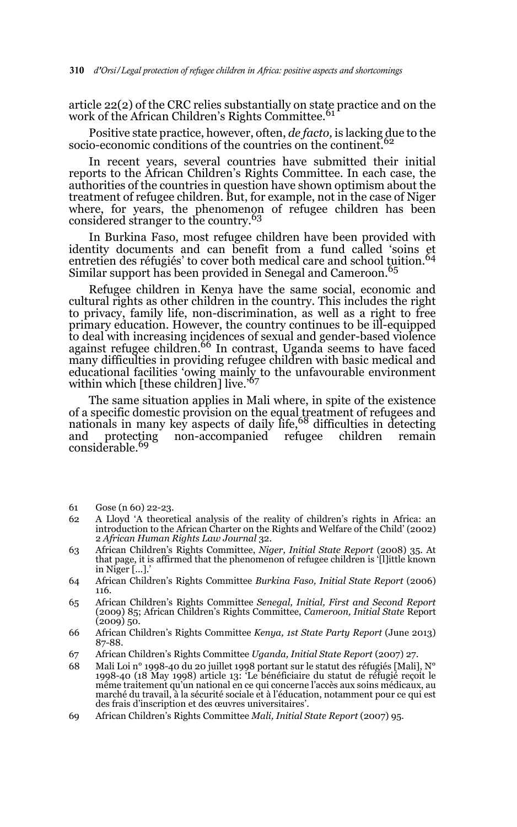article 22(2) of the CRC relies substantially on state practice and on the work of the African Children's Rights Committee.<sup>61</sup>

Positive state practice, however, often, *de facto,* is lacking due to the socio-economic conditions of the countries on the continent.

In recent years, several countries have submitted their initial reports to the African Children's Rights Committee. In each case, the authorities of the countries in question have shown optimism about the treatment of refugee children. But, for example, not in the case of Niger where, for years, the phenomenon of refugee children has been considered stranger to the country.63

In Burkina Faso, most refugee children have been provided with identity documents and can benefit from a fund called 'soins et entretien des réfugiés' to cover both medical care and school tuition.<sup>64</sup> Similar support has been provided in Senegal and Cameroon.<sup>65</sup>

Refugee children in Kenya have the same social, economic and cultural rights as other children in the country. This includes the right to privacy, family life, non-discrimination, as well as a right to free primary education. However, the country continues to be ill-equipped to deal with increasing incidences of sexual and gender-based violence<br>against refugee children.<sup>66</sup> In contrast, Uganda seems to have faced many difficulties in providing refugee children with basic medical and educational facilities 'owing mainly to the unfavourable environment within which [these children] live.<sup>'67</sup>

The same situation applies in Mali where, in spite of the existence of a specific domestic provision on the equal treatment of refugees and<br>nationals in many key aspects of daily life,<sup>68</sup> difficulties in detecting and protecting non-accompanied refugee children remain considerable.<sup>69</sup>

- 61 Gose (n 60) 22-23.
- 62 A Lloyd 'A theoretical analysis of the reality of children's rights in Africa: an introduction to the African Charter on the Rights and Welfare of the Child' (2002) 2 *African Human Rights Law Journal* 32.
- 63 African Children's Rights Committee, *Niger, Initial State Report* (2008) 35. At that page, it is affirmed that the phenomenon of refugee children is '[l]ittle known in Niger [...].'
- 64 African Children's Rights Committee *Burkina Faso, Initial State Report* (2006) 116.
- 65 African Children's Rights Committee *Senegal, Initial, First and Second Report* (2009) 85; African Children's Rights Committee, *Cameroon, Initial State* Report  $(2009)$  50.
- 66 African Children's Rights Committee *Kenya, 1st State Party Report* (June 2013) 87-88.
- 67 African Children's Rights Committee *Uganda, Initial State Report* (2007) 27.
- 68 Mali Loi n° 1998-40 du 20 juillet 1998 portant sur le statut des réfugiés [Mali], N° 1998-40 (18 May 1998) article 13: 'Le bénéficiaire du statut de réfugié reçoit le même traitement qu'un national en ce qui concerne l'accès aux soins médicaux, au marché du travail, à la sécurité sociale et à l'éducation, notamment pour ce qui est des frais d'inscription et des œuvres universitaires'.
- 69 African Children's Rights Committee *Mali, Initial State Report* (2007) 95.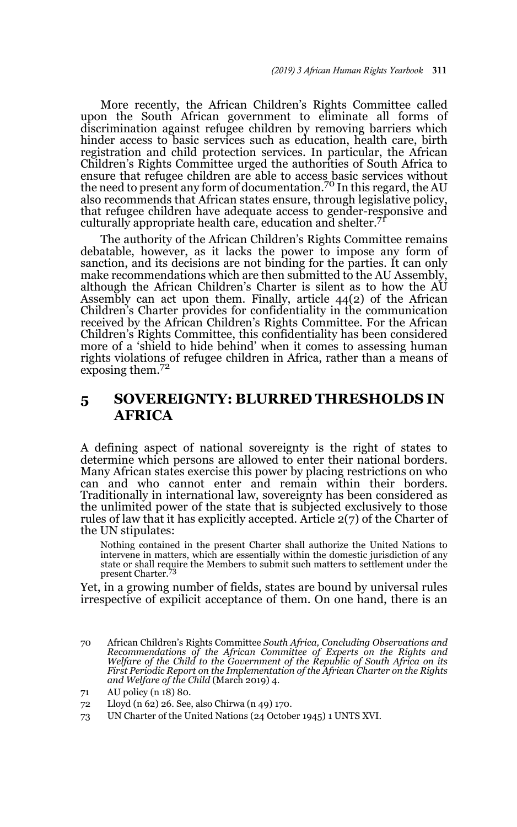More recently, the African Children's Rights Committee called upon the South African government to eliminate all forms of discrimination against refugee children by removing barriers which hinder access to basic services such as education, health care, birth registration and child protection services. In particular, the African Children's Rights Committee urged the authorities of South Africa to ensure that refugee children are able to access basic services without<br>the need to present any form of documentation.<sup>70</sup> In this regard, the AU also recommends that African states ensure, through legislative policy, that refugee children have adequate access to gender-responsive and culturally appropriate health care, education and shelter.<sup>71</sup>

The authority of the African Children's Rights Committee remains debatable, however, as it lacks the power to impose any form of sanction, and its decisions are not binding for the parties. It can only make recommendations which are then submitted to the AU Assembly, although the African Children's Charter is silent as to how the AU Assembly can act upon them. Finally, article 44(2) of the African Children's Charter provides for confidentiality in the communication received by the African Children's Rights Committee. For the African Children's Rights Committee, this confidentiality has been considered more of a 'shield to hide behind' when it comes to assessing human rights violations of refugee children in Africa, rather than a means of exposing them.<sup>72</sup>

### **5 SOVEREIGNTY: BLURRED THRESHOLDS IN AFRICA**

A defining aspect of national sovereignty is the right of states to determine which persons are allowed to enter their national borders. Many African states exercise this power by placing restrictions on who can and who cannot enter and remain within their borders. Traditionally in international law, sovereignty has been considered as the unlimited power of the state that is subjected exclusively to those rules of law that it has explicitly accepted. Article 2(7) of the Charter of the UN stipulates:

Nothing contained in the present Charter shall authorize the United Nations to intervene in matters, which are essentially within the domestic jurisdiction of any state or shall require the Members to submit such matters to settlement under the present Charter.

Yet, in a growing number of fields, states are bound by universal rules irrespective of expilicit acceptance of them. On one hand, there is an

70 African Children's Rights Committee *South Africa, Concluding Observations and Recommendations of the African Committee of Experts on the Rights and Welfare of the Child to the Government of the Republic of South Africa on its First Periodic Report on the Implementation of the African Charter on the Rights and Welfare of the Child* (March 2019) 4.

<sup>71</sup> AU policy (n 18) 80.

<sup>72</sup> Lloyd (n 62) 26. See, also Chirwa (n 49) 170.

<sup>73</sup> UN Charter of the United Nations (24 October 1945) 1 UNTS XVI.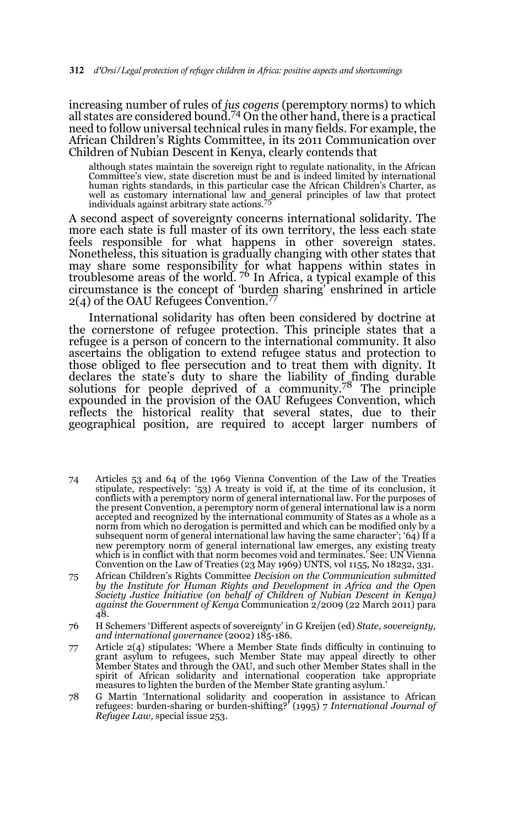increasing number of rules of *jus cogens* (peremptory norms) to which all states are considered bound.74 On the other hand, there is a practical need to follow universal technical rules in many fields. For example, the African Children's Rights Committee, in its 2011 Communication over Children of Nubian Descent in Kenya, clearly contends that

although states maintain the sovereign right to regulate nationality, in the African Committee's view, state discretion must be and is indeed limited by international human rights standards, in this particular case the African Children's Charter, as well as customary international law and general principles of law that protect individuals against arbitrary state actions.75

A second aspect of sovereignty concerns international solidarity. The more each state is full master of its own territory, the less each state feels responsible for what happens in other sovereign states. Nonetheless, this situation is gradually changing with other states that may share some responsibility for what happens within states in troublesome areas of the world. <sup>76</sup> In Africa, a typical example of this circumstance is the concept of 'burden sharing' enshrined in article  $2(4)$  of the OAU Refugees Convention.<sup>77</sup>

International solidarity has often been considered by doctrine at the cornerstone of refugee protection. This principle states that a refugee is a person of concern to the international community. It also ascertains the obligation to extend refugee status and protection to those obliged to flee persecution and to treat them with dignity. It declares the state's duty to share the liability of finding durable solutions for people deprived of a community.<sup>78</sup> The principle expounded in the provision of the OAU Refugees Convention, which reflects the historical reality that several states, due to their geographical position, are required to accept larger numbers of

- 74 Articles 53 and 64 of the 1969 Vienna Convention of the Law of the Treaties stipulate, respectively: '53) A treaty is void if, at the time of its conclusion, it conflicts with a peremptory norm of general international law. For the purposes of the present Convention, a peremptory norm of general international law is a norm accepted and recognized by the international community of States as a whole as a norm from which no derogation is permitted and which can be modified only by a subsequent norm of general international law having the same character'; '64) If a new peremptory norm of general international law emerges, any existing treaty which is in conflict with that norm becomes void and terminates.' See: UN Vienna Convention on the Law of Treaties (23 May 1969) UNTS, vol 1155, No 18232, 331.
- 75 African Children's Rights Committee *Decision on the Communication submitted by the Institute for Human Rights and Development in Africa and the Open Society Justice Initiative (on behalf of Children of Nubian Descent in Kenya) against the Government of Kenya* Communication 2/2009 (22 March 2011) para 48.
- 76 H Schemers 'Different aspects of sovereignty' in G Kreijen (ed) *State, sovereignty, and international governance* (2002) 185-186.
- 77 Article 2(4) stipulates: 'Where a Member State finds difficulty in continuing to grant asylum to refugees, such Member State may appeal directly to other Member States and through the OAU, and such other Member States shall in the spirit of African solidarity and international cooperation take appropriate measures to lighten the burden of the Member State granting asylum.'
- 78 G Martin 'International solidarity and cooperation in assistance to African refugees: burden-sharing or burden-shifting?' (1995) 7 *International Journal of Refugee Law,* special issue 253.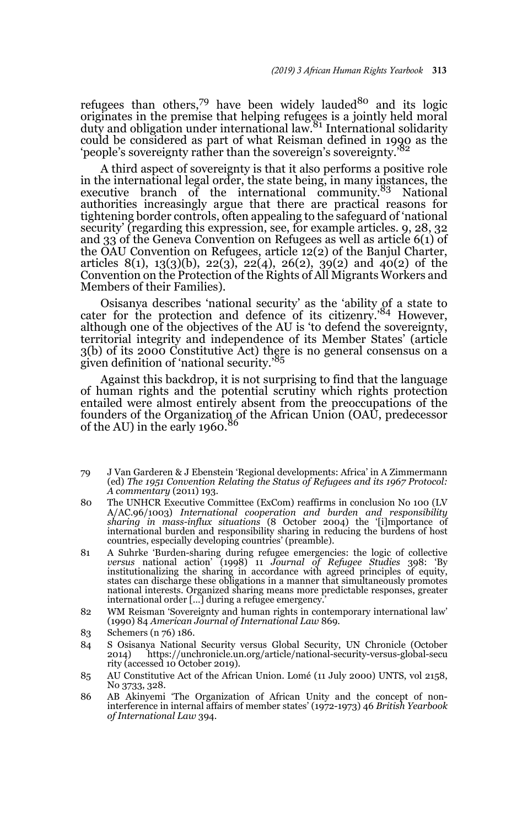refugees than others,<sup>79</sup> have been widely lauded<sup>80</sup> and its logic originates in the premise that helping refugees is a jointly held moral<br>duty and obligation under international law.<sup>81</sup> International solidarity could be considered as part of what Reisman defined in 1990 as the 'people's sovereignty rather than the sovereign's sovereignty.

A third aspect of sovereignty is that it also performs a positive role in the international legal order, the state being, in many instances, the executive branch of the international community.<sup>83</sup> National authorities increasingly argue that there are practical reasons for tightening border controls, often appealing to the safeguard of 'national security' (regarding this expression, see, for example articles, 9, 28, 32 and 33 of the Geneva Convention on Refugees as well as article 6(1) of the OAU Convention on Refugees, article 12(2) of the Banjul Charter, articles 8(1), 13(3)(b), 22(3), 22(4), 26(2), 39(2) and 40(2) of the Convention on the Protection of the Rights of All Migrants Workers and Members of their Families).

Osisanya describes 'national security' as the 'ability of a state to cater for the protection and defence of its citizenry.'84 However, although one of the objectives of the AU is 'to defend the sovereignty, territorial integrity and independence of its Member States' (article 3(b) of its 2000 Constitutive Act) there is no general consensus on a given definition of 'national security.'<sup>85</sup>

Against this backdrop, it is not surprising to find that the language of human rights and the potential scrutiny which rights protection entailed were almost entirely absent from the preoccupations of the founders of the Organization of the African Union (OAŬ, predecessor<br>of the AU) in the early 1960.<sup>86</sup>

- 79 J Van Garderen & J Ebenstein 'Regional developments: Africa' in A Zimmermann (ed) *The 1951 Convention Relating the Status of Refugees and its 1967 Protocol: A commentary* (2011) 193.
- 80 The UNHCR Executive Committee (ExCom) reaffirms in conclusion No 100 (LV A/AC.96/1003) *International cooperation and burden and responsibility sharing in mass-influx situations* (8 October 2004) the '[i]mportance of international burden and responsibility sharing in reducing the burdens of host countries, especially developing countries' (preamble).
- 81 A Suhrke 'Burden-sharing during refugee emergencies: the logic of collective versus national action' (1998) 11 Journal of Refugee Studies 398: 'By institutionalizing the sharing in accordance with agreed principles of e states can discharge these obligations in a manner that simultaneously promotes national interests. Organized sharing means more predictable responses, greater international order […] during a refugee emergency.'
- 82 WM Reisman 'Sovereignty and human rights in contemporary international law' (1990) 84 *American Journal of International Law* 869.
- 83 Schemers (n 76) 186.
- 84 S Osisanya National Security versus Global Security, UN Chronicle (October 2014) https://unchronicle.un.org/article/national-security-versus-global-secu rity (accessed 10 October 2019).
- 85 AU Constitutive Act of the African Union. Lomé (11 July 2000) UNTS, vol 2158, No 3733, 328.
- 86 AB Akinyemi 'The Organization of African Unity and the concept of noninterference in internal affairs of member states' (1972-1973) 46 *British Yearbook of International Law* 394.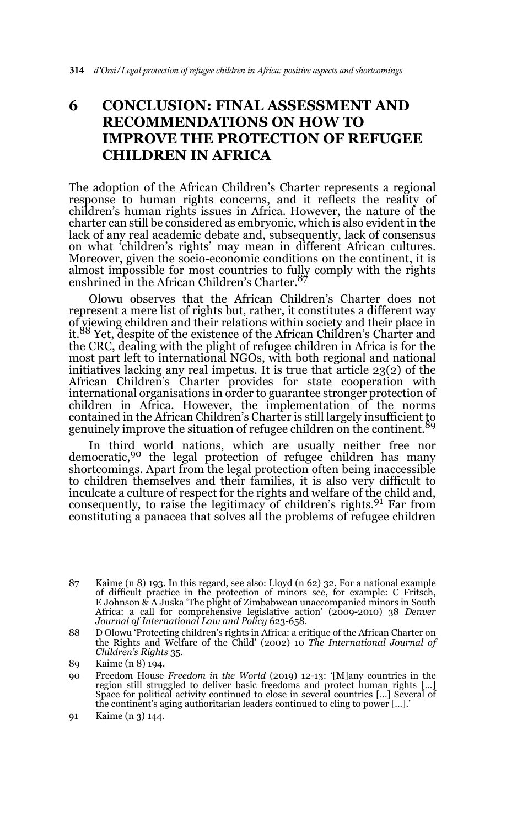## **6 CONCLUSION: FINAL ASSESSMENT AND RECOMMENDATIONS ON HOW TO IMPROVE THE PROTECTION OF REFUGEE CHILDREN IN AFRICA**

The adoption of the African Children's Charter represents a regional response to human rights concerns, and it reflects the reality of children's human rights issues in Africa. However, the nature of the charter can still be considered as embryonic, which is also evident in the lack of any real academic debate and, subsequently, lack of consensus on what 'children's rights' may mean in different African cultures. Moreover, given the socio-economic conditions on the continent, it is almost impossible for most countries to fully comply with the rights enshrined in the African Children's Charter.87

Olowu observes that the African Children's Charter does not represent a mere list of rights but, rather, it constitutes a different way of viewing children and their relations within society and their place in it.88 Yet, despite of the existence of the African Children's Charter and the CRC, dealing with the plight of refugee children in Africa is for the most part left to international NGOs, with both regional and national initiatives lacking any real impetus. It is true that article 23(2) of the African Children's Charter provides for state cooperation with international organisations in order to guarantee stronger protection of children in Africa. However, the implementation of the norms contained in the African Children's Charter is still largely insufficient to genuinely improve the situation of refugee children on the continent.<sup>89</sup>

In third world nations, which are usually neither free nor democratic,<sup>90</sup> the legal protection of refugee children has many shortcomings. Apart from the legal protection often being inaccessible to children themselves and their families, it is also very difficult to inculcate a culture of respect for the rights and welfare of the child and, consequently, to raise the legitimacy of children's rights.<sup>91</sup> Far from constituting a panacea that solves all the problems of refugee children

<sup>87</sup> Kaime (n 8) 193. In this regard, see also: Lloyd (n 62) 32. For a national example of difficult practice in the protection of minors see, for example: C Fritsch, E Johnson & A Juska 'The plight of Zimbabwean unaccompanied minors in South Africa: a call for comprehensive legislative action' (2009-2010) 38 *Denver Journal of International Law and Policy* 623-658.

<sup>88</sup> D Olowu 'Protecting children's rights in Africa: a critique of the African Charter on the Rights and Welfare of the Child' (2002) 10 *The International Journal of Children's Rights* 35.

<sup>89</sup> Kaime (n 8) 194.

<sup>90</sup> Freedom House *Freedom in the World* (2019) 12-13: '[M]any countries in the region still struggled to deliver basic freedoms and protect human rights […] Space for political activity continued to close in several countries […] Several of the continent's aging authoritarian leaders continued to cling to power […].'

<sup>91</sup> Kaime (n 3) 144.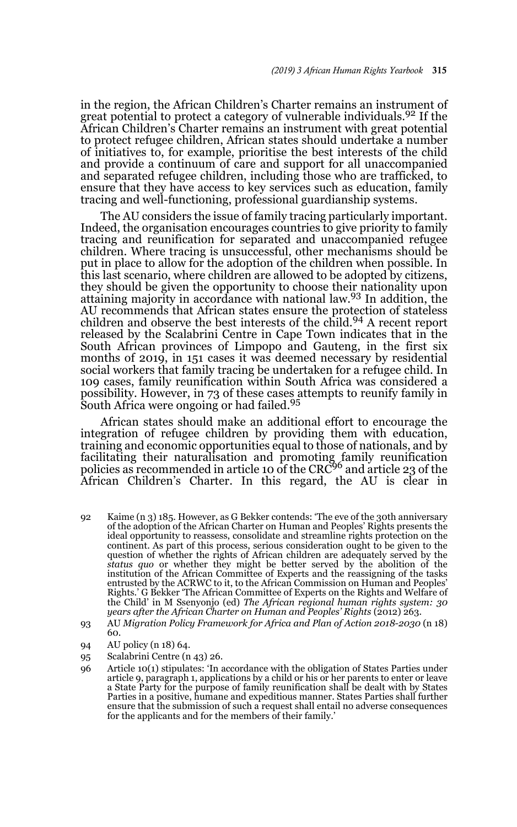in the region, the African Children's Charter remains an instrument of great potential to protect a category of vulnerable individuals.<sup>92</sup> If the African Children's Charter remains an instrument with great potential to protect refugee children, African states should undertake a number of initiatives to, for example, prioritise the best interests of the child and provide a continuum of care and support for all unaccompanied and separated refugee children, including those who are trafficked, to ensure that they have access to key services such as education, family tracing and well-functioning, professional guardianship systems.

The AU considers the issue of family tracing particularly important. Indeed, the organisation encourages countries to give priority to family tracing and reunification for separated and unaccompanied refugee children. Where tracing is unsuccessful, other mechanisms should be put in place to allow for the adoption of the children when possible. In this last scenario, where children are allowed to be adopted by citizens, they should be given the opportunity to choose their nationality upon attaining majority in accordance with national law.93 In addition, the AU recommends that African states ensure the protection of stateless children and observe the best interests of the child.<sup>94</sup> A recent report released by the Scalabrini Centre in Cape Town indicates that in the South African provinces of Limpopo and Gauteng, in the first six months of 2019, in 151 cases it was deemed necessary by residential social workers that family tracing be undertaken for a refugee child. In 109 cases, family reunification within South Africa was considered a possibility. However, in 73 of these cases attempts to reunify family in South Africa were ongoing or had failed.<sup>95</sup>

African states should make an additional effort to encourage the integration of refugee children by providing them with education, training and economic opportunities equal to those of nationals, and by facilitating their naturalisation and promoting family reunification<br>policies as recommended in article 10 of the CRC<sup>96</sup> and article 23 of the African Children's Charter. In this regard, the AU is clear in

- 92 Kaime (n 3) 185. However, as G Bekker contends: 'The eve of the 30th anniversary of the adoption of the African Charter on Human and Peoples' Rights presents the ideal opportunity to reassess, consolidate and streamline rights protection on the continent. As part of this process, serious consideration ought to be given to the question of whether the rights of African children are adequately served by the *status quo* or whether they might be better served by the abolition of the institution of the African Committee of Experts and the reassigning of the tasks entrusted by the ACRWC to it, to the African Commission on Human and Peoples' Rights.' G Bekker 'The African Committee of Experts on the Rights and Welfare of the Child' in M Ssenyonjo (ed) *The African regional human rights system: 30 years after the African Charter on Human and Peoples' Rights* (2012) 263.
- 93 AU *Migration Policy Framework for Africa and Plan of Action 2018-2030* (n 18) 60.
- 94 AU policy (n 18) 64.
- 95 Scalabrini Centre (n 43) 26.
- 96 Article 10(1) stipulates: 'In accordance with the obligation of States Parties under article 9, paragraph 1, applications by a child or his or her parents to enter or leave a State Party for the purpose of family reunification shall be dealt with by States Parties in a positive, humane and expeditious manner. States Parties shall further ensure that the submission of such a request shall entail no adverse consequences for the applicants and for the members of their family.'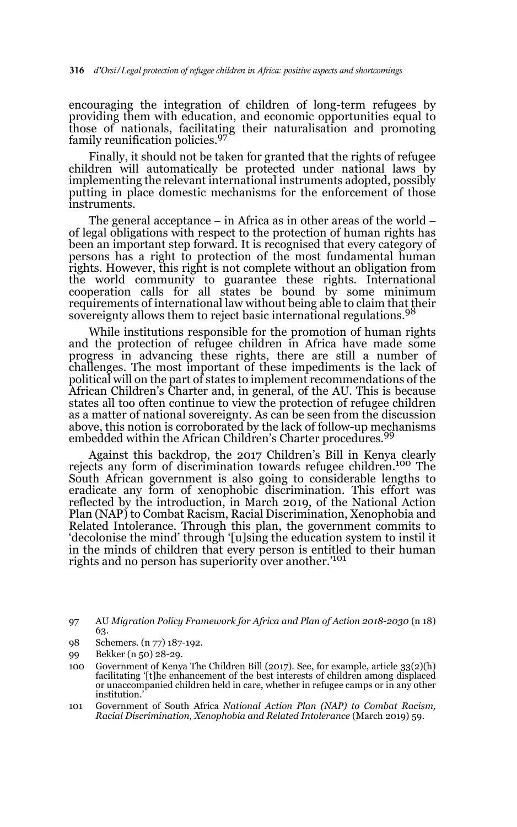encouraging the integration of children of long-term refugees by providing them with education, and economic opportunities equal to those of nationals, facilitating their naturalisation and promoting family reunification policies.97

Finally, it should not be taken for granted that the rights of refugee children will automatically be protected under national laws by implementing the relevant international instruments adopted, possibly putting in place domestic mechanisms for the enforcement of those instruments.

The general acceptance  $-$  in Africa as in other areas of the world  $-$  of legal obligations with respect to the protection of human rights has been an important step forward. It is recognised that every category of persons has a right to protection of the most fundamental human rights. However, this right is not complete without an obligation from the world community to guarantee these rights. International cooperation calls for all states be bound by some minimum requirements of international law without being able to claim that their sovereignty allows them to reject basic international regulations.<sup>98</sup>

While institutions responsible for the promotion of human rights and the protection of refugee children in Africa have made some progress in advancing these rights, there are still a number of challenges. The most important of these impediments is the lack of political will on the part of states to implement recommendations of the African Children's Charter and, in general, of the AU. This is because states all too often continue to view the protection of refugee children as a matter of national sovereignty. As can be seen from the discussion above, this notion is corroborated by the lack of follow-up mechanisms embedded within the African Children's Charter procedures.<sup>99</sup>

Against this backdrop, the 2017 Children's Bill in Kenya clearly rejects any form of discrimination towards refugee children.100 The South African government is also going to considerable lengths to eradicate any form of xenophobic discrimination. This effort was reflected by the introduction, in March 2019, of the National Action Plan (NAP) to Combat Racism, Racial Discrimination, Xenophobia and Related Intolerance. Through this plan, the government commits to 'decolonise the mind' through '[u]sing the education system to instil it in the minds of children that every person is entitled to their human rights and no person has superiority over another.<sup>'101</sup>

98 Schemers. (n 77) 187-192.

101 Government of South Africa *National Action Plan (NAP) to Combat Racism, Racial Discrimination, Xenophobia and Related Intolerance* (March 2019) 59.

<sup>97</sup> AU *Migration Policy Framework for Africa and Plan of Action 2018-2030* (n 18) 63.

<sup>99</sup> Bekker (n 50) 28-29.

<sup>100</sup> Government of Kenya The Children Bill (2017). See, for example, article 33(2)(h) facilitating '[t]he enhancement of the best interests of children among displaced or unaccompanied children held in care, whether in refugee camps or in any other institution.'